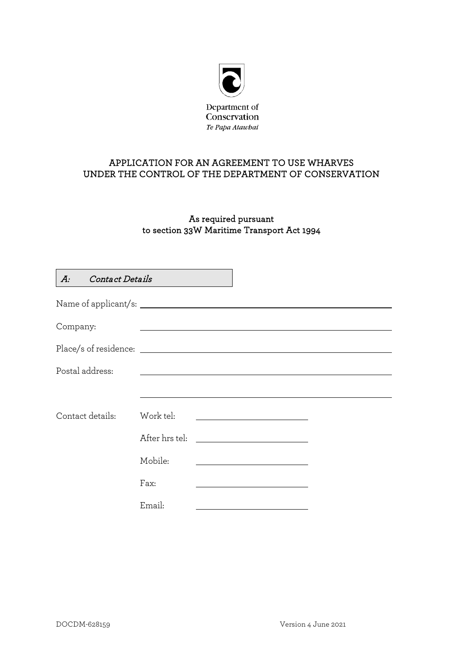

## APPLICATION FOR AN AGREEMENT TO USE WHARVES UNDER THE CONTROL OF THE DEPARTMENT OF CONSERVATION

# As required pursuant to section 33W Maritime Transport Act 1994

| <b>Contact Details</b><br>$A$ : |                                                                                                                       |
|---------------------------------|-----------------------------------------------------------------------------------------------------------------------|
|                                 |                                                                                                                       |
| Company:                        |                                                                                                                       |
|                                 |                                                                                                                       |
| Postal address:                 | <u> 1989 - John Stein, september 1989 - John Stein, september 1989 - John Stein, september 1989 - John Stein, sep</u> |
|                                 |                                                                                                                       |
| Contact details:                | Work tel:                                                                                                             |
|                                 | After hrs tel:                                                                                                        |
|                                 |                                                                                                                       |
|                                 | Mobile:                                                                                                               |
|                                 | Fax:                                                                                                                  |
|                                 | Email:                                                                                                                |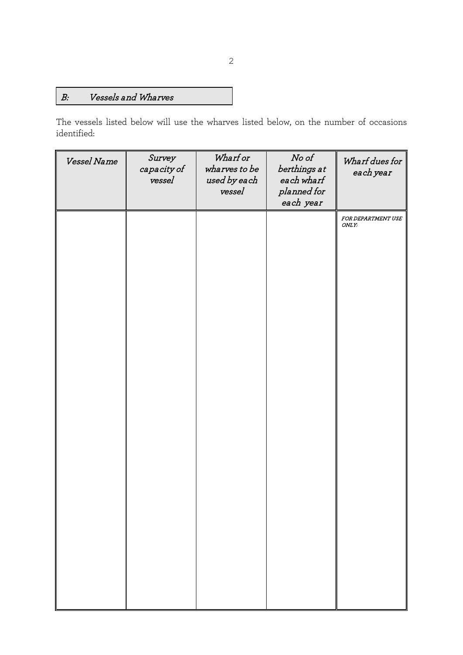# B: Vessels and Wharves

The vessels listed below will use the wharves listed below, on the number of occasions identified:

| Vessel Name | Survey<br>capacity of<br>vessel | Wharf or<br>wharves to be<br>used by each<br>vessel | No of<br>berthings at<br>each wharf<br>planned for<br>each year | Wharf dues for<br>each year |
|-------------|---------------------------------|-----------------------------------------------------|-----------------------------------------------------------------|-----------------------------|
|             |                                 |                                                     |                                                                 | FOR DEPARTMENT USE<br>ONLY: |
|             |                                 |                                                     |                                                                 |                             |
|             |                                 |                                                     |                                                                 |                             |
|             |                                 |                                                     |                                                                 |                             |
|             |                                 |                                                     |                                                                 |                             |
|             |                                 |                                                     |                                                                 |                             |
|             |                                 |                                                     |                                                                 |                             |
|             |                                 |                                                     |                                                                 |                             |